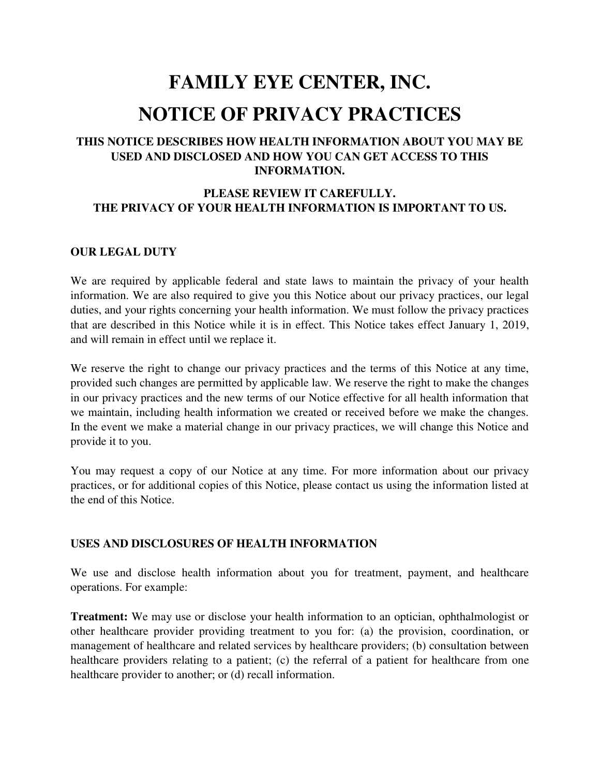# **FAMILY EYE CENTER, INC. NOTICE OF PRIVACY PRACTICES**

# **THIS NOTICE DESCRIBES HOW HEALTH INFORMATION ABOUT YOU MAY BE USED AND DISCLOSED AND HOW YOU CAN GET ACCESS TO THIS INFORMATION.**

## **PLEASE REVIEW IT CAREFULLY. THE PRIVACY OF YOUR HEALTH INFORMATION IS IMPORTANT TO US.**

#### **OUR LEGAL DUTY**

We are required by applicable federal and state laws to maintain the privacy of your health information. We are also required to give you this Notice about our privacy practices, our legal duties, and your rights concerning your health information. We must follow the privacy practices that are described in this Notice while it is in effect. This Notice takes effect January 1, 2019, and will remain in effect until we replace it.

We reserve the right to change our privacy practices and the terms of this Notice at any time, provided such changes are permitted by applicable law. We reserve the right to make the changes in our privacy practices and the new terms of our Notice effective for all health information that we maintain, including health information we created or received before we make the changes. In the event we make a material change in our privacy practices, we will change this Notice and provide it to you.

You may request a copy of our Notice at any time. For more information about our privacy practices, or for additional copies of this Notice, please contact us using the information listed at the end of this Notice.

#### **USES AND DISCLOSURES OF HEALTH INFORMATION**

We use and disclose health information about you for treatment, payment, and healthcare operations. For example:

**Treatment:** We may use or disclose your health information to an optician, ophthalmologist or other healthcare provider providing treatment to you for: (a) the provision, coordination, or management of healthcare and related services by healthcare providers; (b) consultation between healthcare providers relating to a patient; (c) the referral of a patient for healthcare from one healthcare provider to another; or (d) recall information.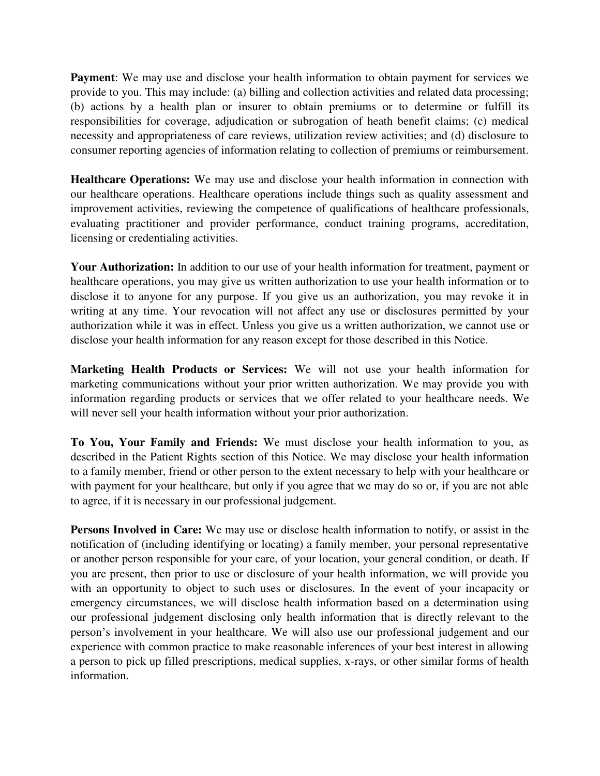**Payment**: We may use and disclose your health information to obtain payment for services we provide to you. This may include: (a) billing and collection activities and related data processing; (b) actions by a health plan or insurer to obtain premiums or to determine or fulfill its responsibilities for coverage, adjudication or subrogation of heath benefit claims; (c) medical necessity and appropriateness of care reviews, utilization review activities; and (d) disclosure to consumer reporting agencies of information relating to collection of premiums or reimbursement.

**Healthcare Operations:** We may use and disclose your health information in connection with our healthcare operations. Healthcare operations include things such as quality assessment and improvement activities, reviewing the competence of qualifications of healthcare professionals, evaluating practitioner and provider performance, conduct training programs, accreditation, licensing or credentialing activities.

**Your Authorization:** In addition to our use of your health information for treatment, payment or healthcare operations, you may give us written authorization to use your health information or to disclose it to anyone for any purpose. If you give us an authorization, you may revoke it in writing at any time. Your revocation will not affect any use or disclosures permitted by your authorization while it was in effect. Unless you give us a written authorization, we cannot use or disclose your health information for any reason except for those described in this Notice.

**Marketing Health Products or Services:** We will not use your health information for marketing communications without your prior written authorization. We may provide you with information regarding products or services that we offer related to your healthcare needs. We will never sell your health information without your prior authorization.

**To You, Your Family and Friends:** We must disclose your health information to you, as described in the Patient Rights section of this Notice. We may disclose your health information to a family member, friend or other person to the extent necessary to help with your healthcare or with payment for your healthcare, but only if you agree that we may do so or, if you are not able to agree, if it is necessary in our professional judgement.

**Persons Involved in Care:** We may use or disclose health information to notify, or assist in the notification of (including identifying or locating) a family member, your personal representative or another person responsible for your care, of your location, your general condition, or death. If you are present, then prior to use or disclosure of your health information, we will provide you with an opportunity to object to such uses or disclosures. In the event of your incapacity or emergency circumstances, we will disclose health information based on a determination using our professional judgement disclosing only health information that is directly relevant to the person's involvement in your healthcare. We will also use our professional judgement and our experience with common practice to make reasonable inferences of your best interest in allowing a person to pick up filled prescriptions, medical supplies, x-rays, or other similar forms of health information.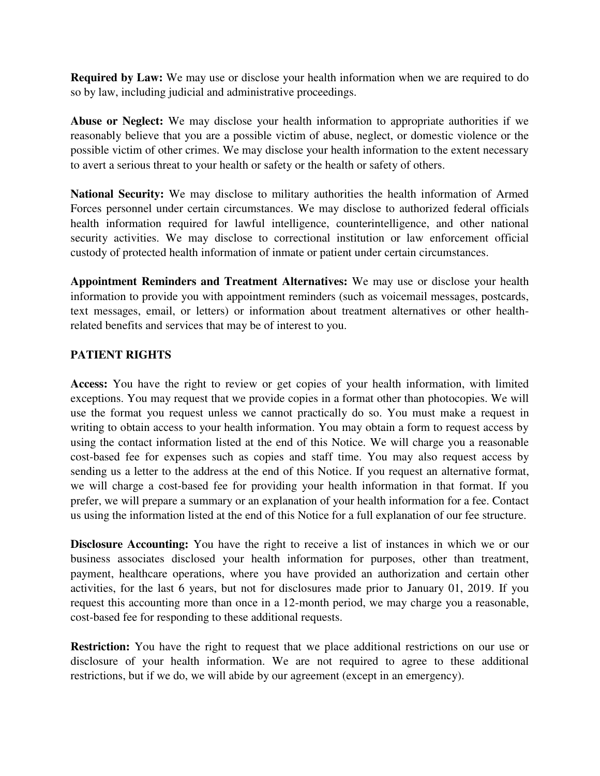**Required by Law:** We may use or disclose your health information when we are required to do so by law, including judicial and administrative proceedings.

**Abuse or Neglect:** We may disclose your health information to appropriate authorities if we reasonably believe that you are a possible victim of abuse, neglect, or domestic violence or the possible victim of other crimes. We may disclose your health information to the extent necessary to avert a serious threat to your health or safety or the health or safety of others.

**National Security:** We may disclose to military authorities the health information of Armed Forces personnel under certain circumstances. We may disclose to authorized federal officials health information required for lawful intelligence, counterintelligence, and other national security activities. We may disclose to correctional institution or law enforcement official custody of protected health information of inmate or patient under certain circumstances.

**Appointment Reminders and Treatment Alternatives:** We may use or disclose your health information to provide you with appointment reminders (such as voicemail messages, postcards, text messages, email, or letters) or information about treatment alternatives or other healthrelated benefits and services that may be of interest to you.

### **PATIENT RIGHTS**

**Access:** You have the right to review or get copies of your health information, with limited exceptions. You may request that we provide copies in a format other than photocopies. We will use the format you request unless we cannot practically do so. You must make a request in writing to obtain access to your health information. You may obtain a form to request access by using the contact information listed at the end of this Notice. We will charge you a reasonable cost-based fee for expenses such as copies and staff time. You may also request access by sending us a letter to the address at the end of this Notice. If you request an alternative format, we will charge a cost-based fee for providing your health information in that format. If you prefer, we will prepare a summary or an explanation of your health information for a fee. Contact us using the information listed at the end of this Notice for a full explanation of our fee structure.

**Disclosure Accounting:** You have the right to receive a list of instances in which we or our business associates disclosed your health information for purposes, other than treatment, payment, healthcare operations, where you have provided an authorization and certain other activities, for the last 6 years, but not for disclosures made prior to January 01, 2019. If you request this accounting more than once in a 12-month period, we may charge you a reasonable, cost-based fee for responding to these additional requests.

**Restriction:** You have the right to request that we place additional restrictions on our use or disclosure of your health information. We are not required to agree to these additional restrictions, but if we do, we will abide by our agreement (except in an emergency).